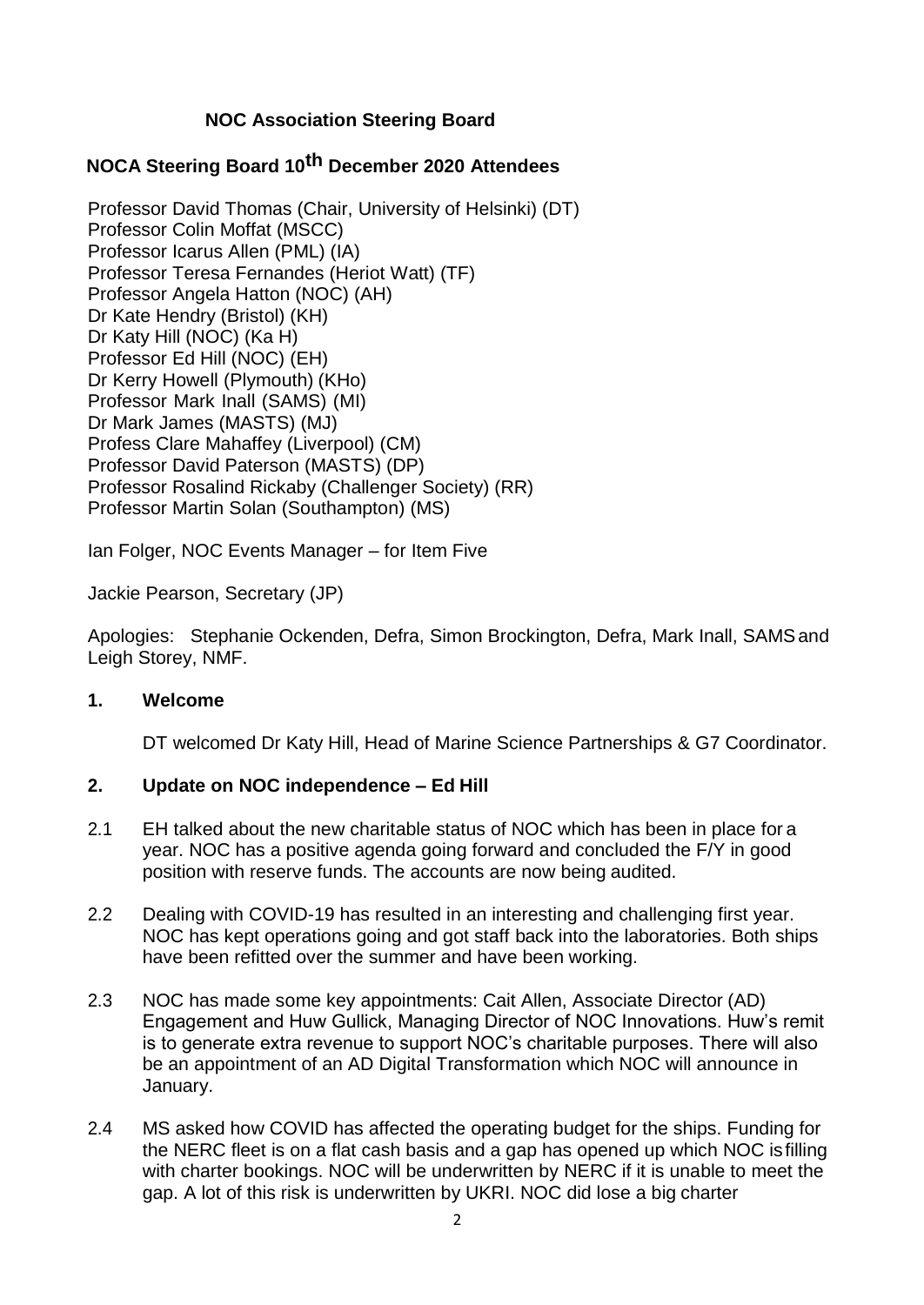# **NOC Association Steering Board**

# **NOCA Steering Board 10th December 2020 Attendees**

Professor David Thomas (Chair, University of Helsinki) (DT) Professor Colin Moffat (MSCC) Professor Icarus Allen (PML) (IA) Professor Teresa Fernandes (Heriot Watt) (TF) Professor Angela Hatton (NOC) (AH) Dr Kate Hendry (Bristol) (KH) Dr Katy Hill (NOC) (Ka H) Professor Ed Hill (NOC) (EH) Dr Kerry Howell (Plymouth) (KHo) Professor Mark Inall (SAMS) (MI) Dr Mark James (MASTS) (MJ) Profess Clare Mahaffey (Liverpool) (CM) Professor David Paterson (MASTS) (DP) Professor Rosalind Rickaby (Challenger Society) (RR) Professor Martin Solan (Southampton) (MS)

Ian Folger, NOC Events Manager – for Item Five

Jackie Pearson, Secretary (JP)

Apologies: Stephanie Ockenden, Defra, Simon Brockington, Defra, Mark Inall, SAMSand Leigh Storey, NMF.

### **1. Welcome**

DT welcomed Dr Katy Hill, Head of Marine Science Partnerships & G7 Coordinator.

## **2. Update on NOC independence – Ed Hill**

- 2.1 EH talked about the new charitable status of NOC which has been in place for a year. NOC has a positive agenda going forward and concluded the F/Y in good position with reserve funds. The accounts are now being audited.
- 2.2 Dealing with COVID-19 has resulted in an interesting and challenging first year. NOC has kept operations going and got staff back into the laboratories. Both ships have been refitted over the summer and have been working.
- 2.3 NOC has made some key appointments: Cait Allen, Associate Director (AD) Engagement and Huw Gullick, Managing Director of NOC Innovations. Huw's remit is to generate extra revenue to support NOC's charitable purposes. There will also be an appointment of an AD Digital Transformation which NOC will announce in January.
- 2.4 MS asked how COVID has affected the operating budget for the ships. Funding for the NERC fleet is on a flat cash basis and a gap has opened up which NOC is filling with charter bookings. NOC will be underwritten by NERC if it is unable to meet the gap. A lot of this risk is underwritten by UKRI. NOC did lose a big charter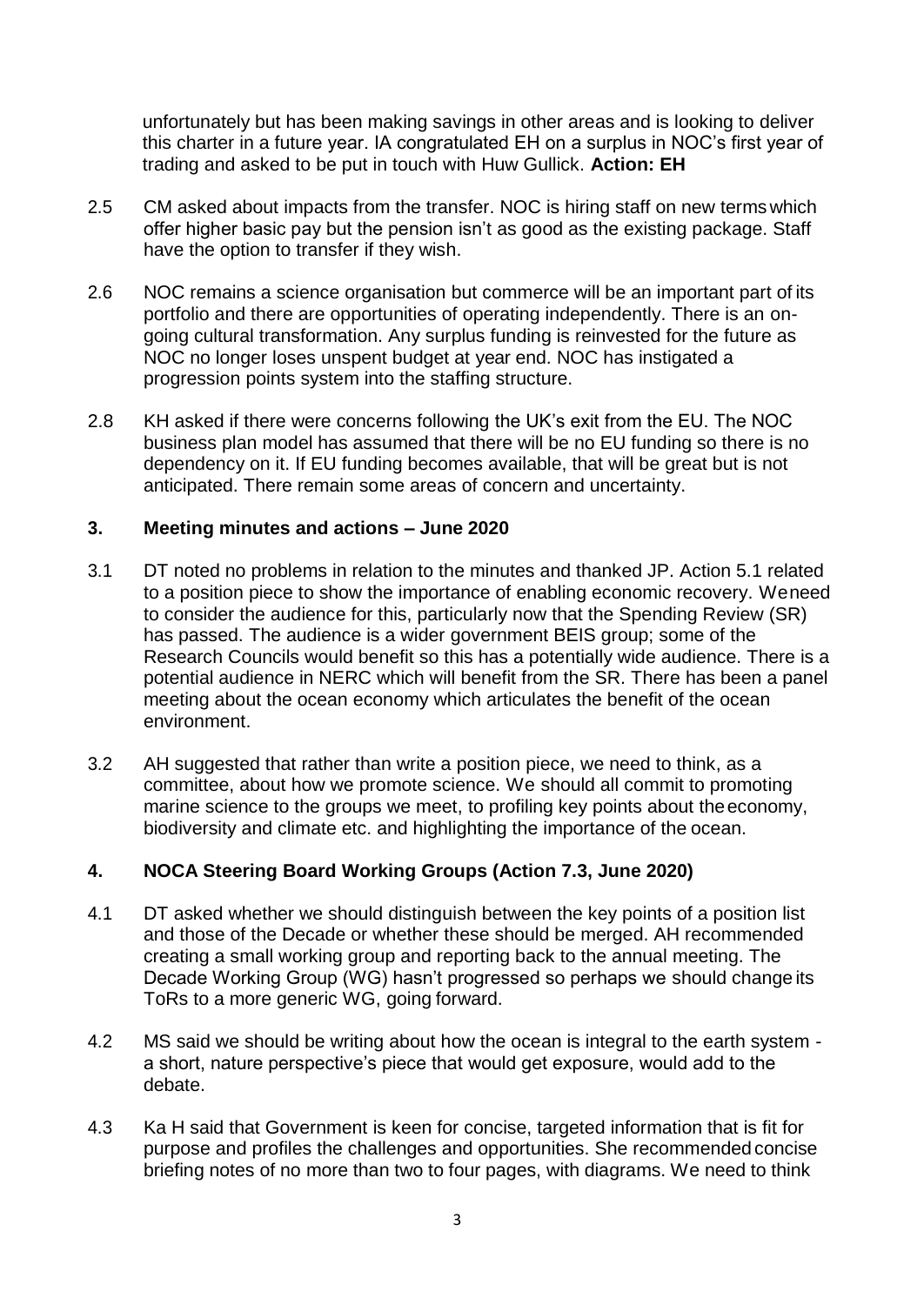unfortunately but has been making savings in other areas and is looking to deliver this charter in a future year. IA congratulated EH on a surplus in NOC's first year of trading and asked to be put in touch with Huw Gullick. **Action: EH**

- 2.5 CM asked about impacts from the transfer. NOC is hiring staff on new terms which offer higher basic pay but the pension isn't as good as the existing package. Staff have the option to transfer if they wish.
- 2.6 NOC remains a science organisation but commerce will be an important part of its portfolio and there are opportunities of operating independently. There is an ongoing cultural transformation. Any surplus funding is reinvested for the future as NOC no longer loses unspent budget at year end. NOC has instigated a progression points system into the staffing structure.
- 2.8 KH asked if there were concerns following the UK's exit from the EU. The NOC business plan model has assumed that there will be no EU funding so there is no dependency on it. If EU funding becomes available, that will be great but is not anticipated. There remain some areas of concern and uncertainty.

### **3. Meeting minutes and actions – June 2020**

- 3.1 DT noted no problems in relation to the minutes and thanked JP. Action 5.1 related to a position piece to show the importance of enabling economic recovery. Weneed to consider the audience for this, particularly now that the Spending Review (SR) has passed. The audience is a wider government BEIS group; some of the Research Councils would benefit so this has a potentially wide audience. There is a potential audience in NERC which will benefit from the SR. There has been a panel meeting about the ocean economy which articulates the benefit of the ocean environment.
- 3.2 AH suggested that rather than write a position piece, we need to think, as a committee, about how we promote science. We should all commit to promoting marine science to the groups we meet, to profiling key points about theeconomy, biodiversity and climate etc. and highlighting the importance of the ocean.

## **4. NOCA Steering Board Working Groups (Action 7.3, June 2020)**

- 4.1 DT asked whether we should distinguish between the key points of a position list and those of the Decade or whether these should be merged. AH recommended creating a small working group and reporting back to the annual meeting. The Decade Working Group (WG) hasn't progressed so perhaps we should change its ToRs to a more generic WG, going forward.
- 4.2 MS said we should be writing about how the ocean is integral to the earth system a short, nature perspective's piece that would get exposure, would add to the debate.
- 4.3 Ka H said that Government is keen for concise, targeted information that is fit for purpose and profiles the challenges and opportunities. She recommended concise briefing notes of no more than two to four pages, with diagrams. We need to think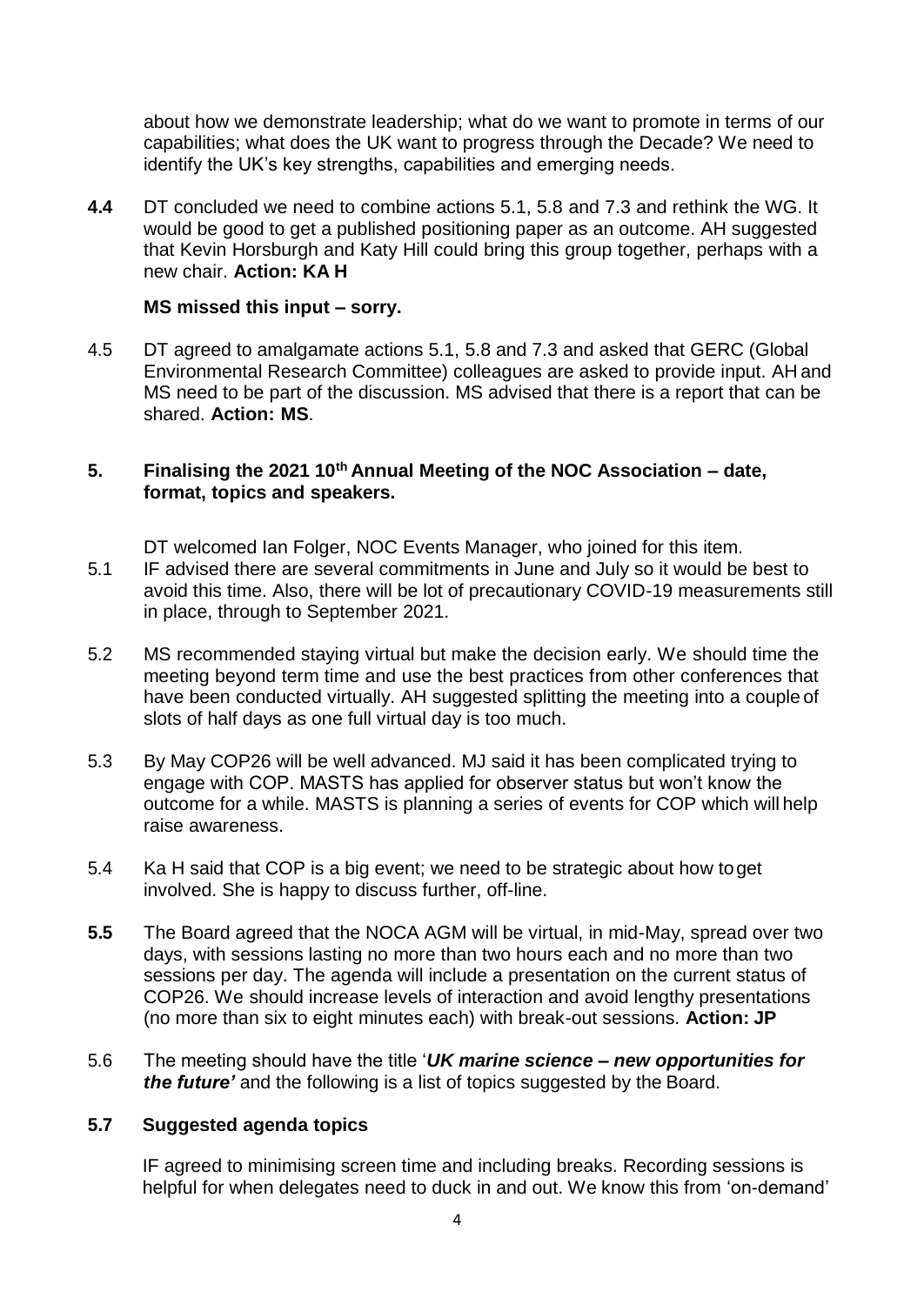about how we demonstrate leadership; what do we want to promote in terms of our capabilities; what does the UK want to progress through the Decade? We need to identify the UK's key strengths, capabilities and emerging needs.

**4.4** DT concluded we need to combine actions 5.1, 5.8 and 7.3 and rethink the WG. It would be good to get a published positioning paper as an outcome. AH suggested that Kevin Horsburgh and Katy Hill could bring this group together, perhaps with a new chair. **Action: KA H**

#### **MS missed this input – sorry.**

4.5 DT agreed to amalgamate actions 5.1, 5.8 and 7.3 and asked that GERC (Global Environmental Research Committee) colleagues are asked to provide input. AH and MS need to be part of the discussion. MS advised that there is a report that can be shared. **Action: MS**.

### **5. Finalising the 2021 10th Annual Meeting of the NOC Association – date, format, topics and speakers.**

DT welcomed Ian Folger, NOC Events Manager, who joined for this item.

- 5.1 IF advised there are several commitments in June and July so it would be best to avoid this time. Also, there will be lot of precautionary COVID-19 measurements still in place, through to September 2021.
- 5.2 MS recommended staying virtual but make the decision early. We should time the meeting beyond term time and use the best practices from other conferences that have been conducted virtually. AH suggested splitting the meeting into a couple of slots of half days as one full virtual day is too much.
- 5.3 By May COP26 will be well advanced. MJ said it has been complicated trying to engage with COP. MASTS has applied for observer status but won't know the outcome for a while. MASTS is planning a series of events for COP which will help raise awareness.
- 5.4 Ka H said that COP is a big event; we need to be strategic about how toget involved. She is happy to discuss further, off-line.
- **5.5** The Board agreed that the NOCA AGM will be virtual, in mid-May, spread over two days, with sessions lasting no more than two hours each and no more than two sessions per day. The agenda will include a presentation on the current status of COP26. We should increase levels of interaction and avoid lengthy presentations (no more than six to eight minutes each) with break-out sessions. **Action: JP**
- 5.6 The meeting should have the title '*UK marine science – new opportunities for the future'* and the following is a list of topics suggested by the Board.

### **5.7 Suggested agenda topics**

IF agreed to minimising screen time and including breaks. Recording sessions is helpful for when delegates need to duck in and out. We know this from 'on-demand'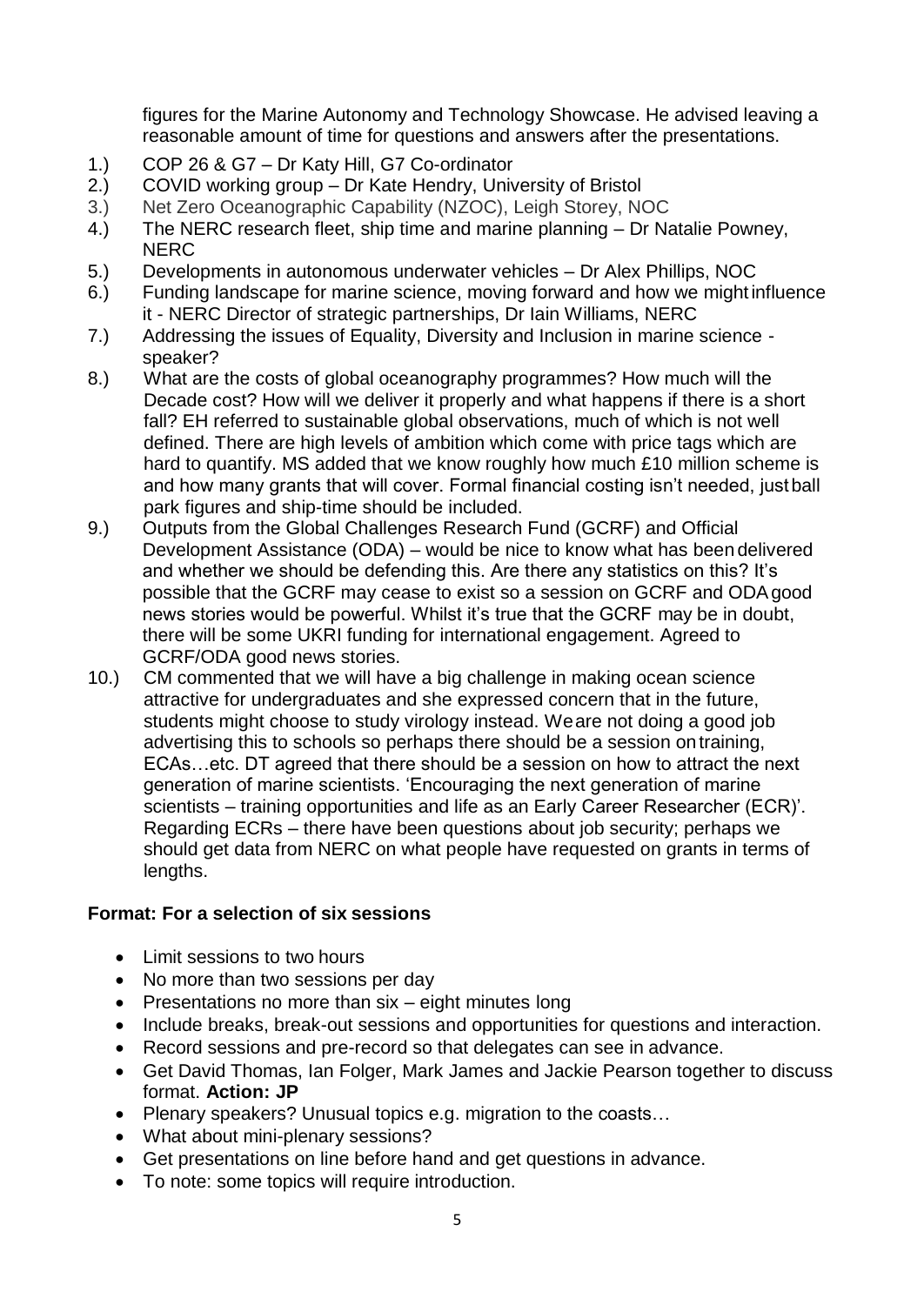figures for the Marine Autonomy and Technology Showcase. He advised leaving a reasonable amount of time for questions and answers after the presentations.

- 1.) COP 26 & G7 Dr Katy Hill, G7 Co-ordinator
- 2.) COVID working group Dr Kate Hendry, University of Bristol
- 3.) Net Zero Oceanographic Capability (NZOC), Leigh Storey, NOC
- 4.) The NERC research fleet, ship time and marine planning Dr Natalie Powney, **NERC**
- 5.) Developments in autonomous underwater vehicles Dr Alex Phillips, NOC
- 6.) Funding landscape for marine science, moving forward and how we mightinfluence it - NERC Director of strategic partnerships, Dr Iain Williams, NERC
- 7.) Addressing the issues of Equality, Diversity and Inclusion in marine science speaker?
- 8.) What are the costs of global oceanography programmes? How much will the Decade cost? How will we deliver it properly and what happens if there is a short fall? EH referred to sustainable global observations, much of which is not well defined. There are high levels of ambition which come with price tags which are hard to quantify. MS added that we know roughly how much £10 million scheme is and how many grants that will cover. Formal financial costing isn't needed, justball park figures and ship-time should be included.
- 9.) Outputs from the Global Challenges Research Fund (GCRF) and Official Development Assistance (ODA) – would be nice to know what has been delivered and whether we should be defending this. Are there any statistics on this? It's possible that the GCRF may cease to exist so a session on GCRF and ODAgood news stories would be powerful. Whilst it's true that the GCRF may be in doubt, there will be some UKRI funding for international engagement. Agreed to GCRF/ODA good news stories.
- 10.) CM commented that we will have a big challenge in making ocean science attractive for undergraduates and she expressed concern that in the future, students might choose to study virology instead. Weare not doing a good job advertising this to schools so perhaps there should be a session ontraining, ECAs…etc. DT agreed that there should be a session on how to attract the next generation of marine scientists. 'Encouraging the next generation of marine scientists – training opportunities and life as an Early Career Researcher (ECR)'. Regarding ECRs – there have been questions about job security; perhaps we should get data from NERC on what people have requested on grants in terms of lengths.

## **Format: For a selection of six sessions**

- Limit sessions to two hours
- No more than two sessions per day
- Presentations no more than six eight minutes long
- Include breaks, break-out sessions and opportunities for questions and interaction.
- Record sessions and pre-record so that delegates can see in advance.
- Get David Thomas, Ian Folger, Mark James and Jackie Pearson together to discuss format. **Action: JP**
- Plenary speakers? Unusual topics e.g. migration to the coasts…
- What about mini-plenary sessions?
- Get presentations on line before hand and get questions in advance.
- To note: some topics will require introduction.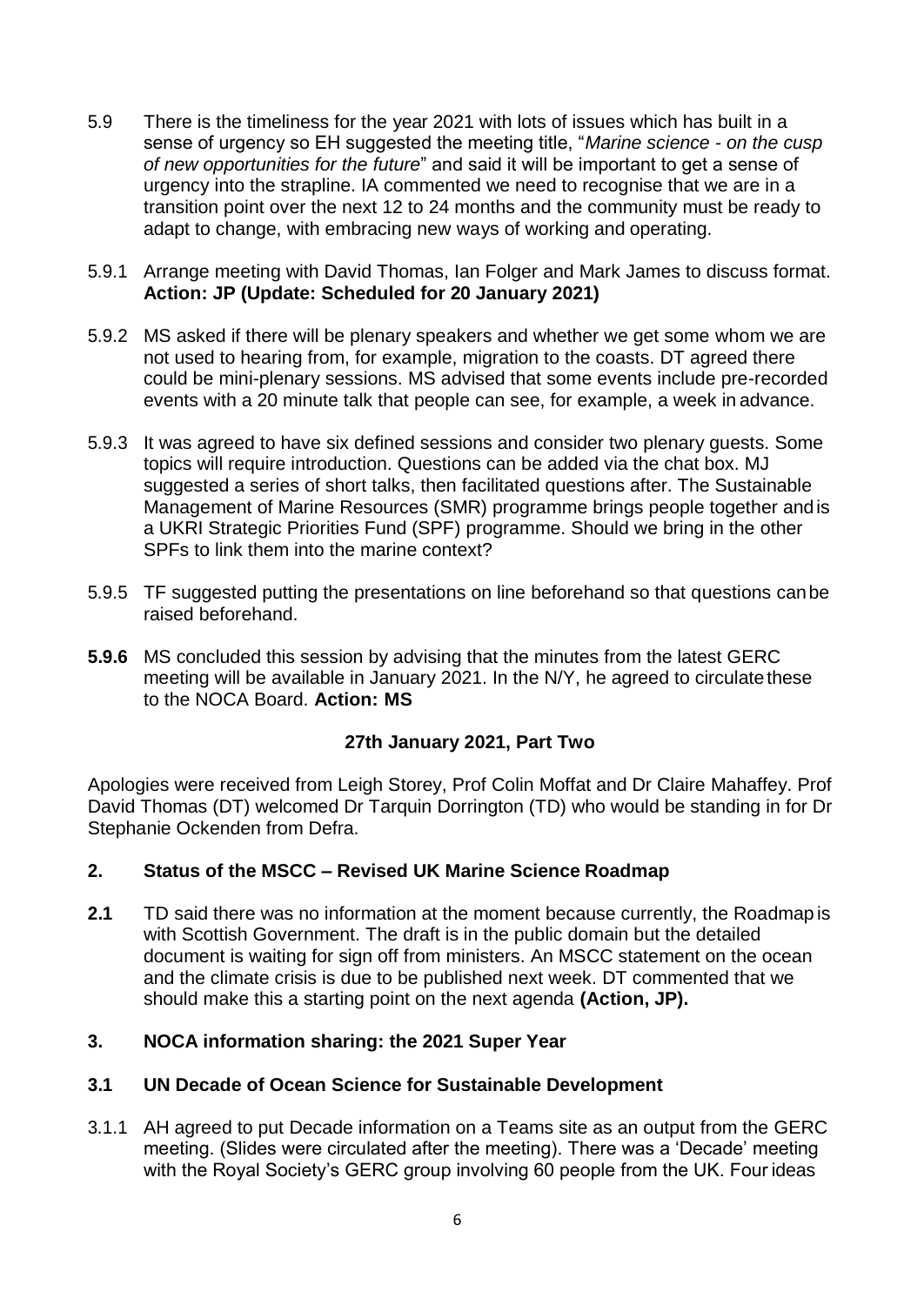- 5.9 There is the timeliness for the year 2021 with lots of issues which has built in a sense of urgency so EH suggested the meeting title, "*Marine science - on the cusp of new opportunities for the future*" and said it will be important to get a sense of urgency into the strapline. IA commented we need to recognise that we are in a transition point over the next 12 to 24 months and the community must be ready to adapt to change, with embracing new ways of working and operating.
- 5.9.1 Arrange meeting with David Thomas, Ian Folger and Mark James to discuss format. **Action: JP (Update: Scheduled for 20 January 2021)**
- 5.9.2 MS asked if there will be plenary speakers and whether we get some whom we are not used to hearing from, for example, migration to the coasts. DT agreed there could be mini-plenary sessions. MS advised that some events include pre-recorded events with a 20 minute talk that people can see, for example, a week in advance.
- 5.9.3 It was agreed to have six defined sessions and consider two plenary guests. Some topics will require introduction. Questions can be added via the chat box. MJ suggested a series of short talks, then facilitated questions after. The Sustainable Management of Marine Resources (SMR) programme brings people together and is a UKRI Strategic Priorities Fund (SPF) programme. Should we bring in the other SPFs to link them into the marine context?
- 5.9.5 TF suggested putting the presentations on line beforehand so that questions canbe raised beforehand.
- **5.9.6** MS concluded this session by advising that the minutes from the latest GERC meeting will be available in January 2021. In the N/Y, he agreed to circulate these to the NOCA Board. **Action: MS**

## **27th January 2021, Part Two**

Apologies were received from Leigh Storey, Prof Colin Moffat and Dr Claire Mahaffey. Prof David Thomas (DT) welcomed Dr Tarquin Dorrington (TD) who would be standing in for Dr Stephanie Ockenden from Defra.

### **2. Status of the MSCC – Revised UK Marine Science Roadmap**

**2.1** TD said there was no information at the moment because currently, the Roadmap is with Scottish Government. The draft is in the public domain but the detailed document is waiting for sign off from ministers. An MSCC statement on the ocean and the climate crisis is due to be published next week. DT commented that we should make this a starting point on the next agenda **(Action, JP).**

### **3. NOCA information sharing: the 2021 Super Year**

### **3.1 UN Decade of Ocean Science for Sustainable Development**

3.1.1 AH agreed to put Decade information on a Teams site as an output from the GERC meeting. (Slides were circulated after the meeting). There was a 'Decade' meeting with the Royal Society's GERC group involving 60 people from the UK. Four ideas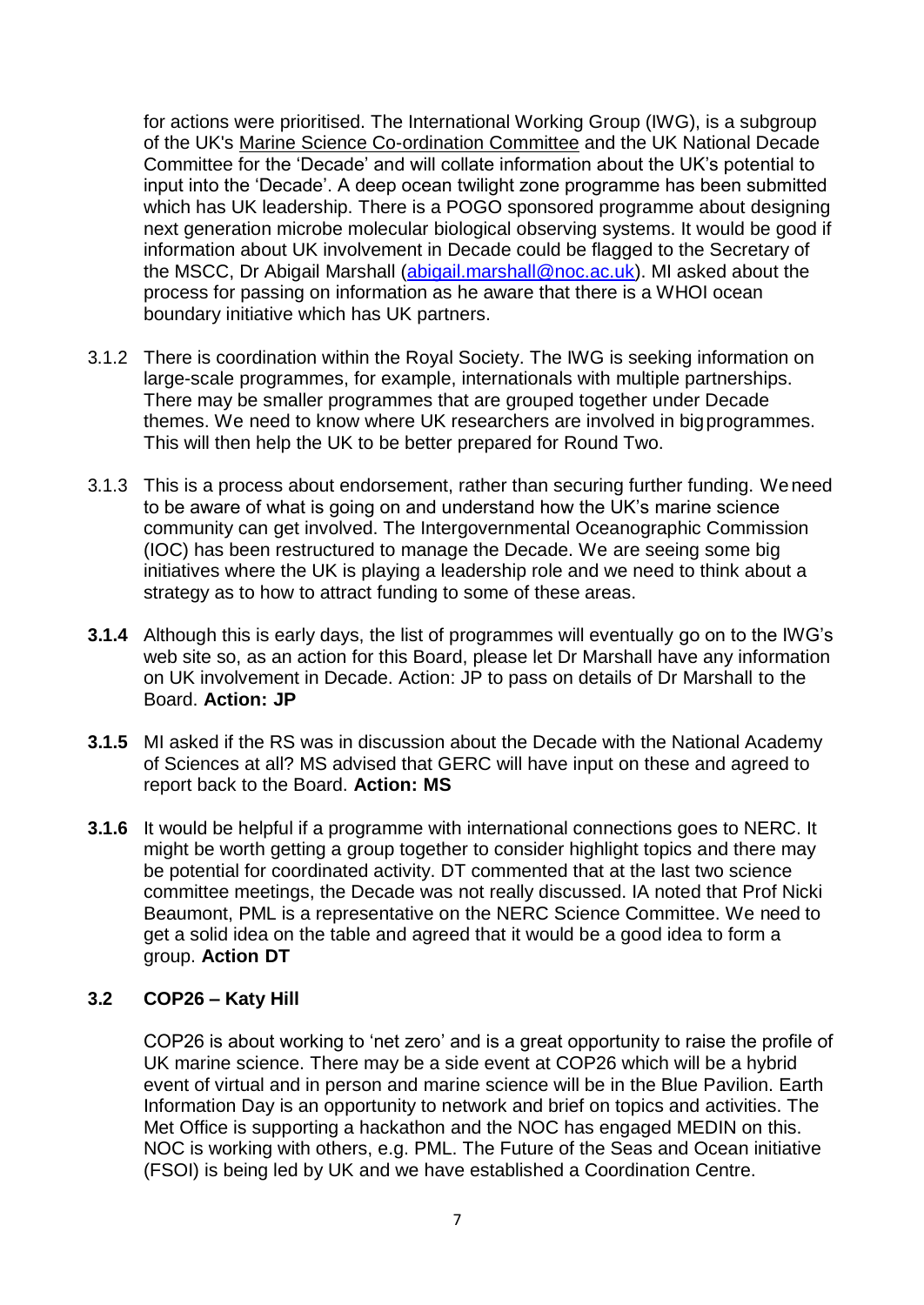for actions were prioritised. The International Working Group (IWG), is a subgroup of the UK's [Marine Science Co-ordination Committee](https://www.gov.uk/government/groups/marine-science-co-ordination-committee) and the UK National Decade Committee for the 'Decade' and will collate information about the UK's potential to input into the 'Decade'. A deep ocean twilight zone programme has been submitted which has UK leadership. There is a POGO sponsored programme about designing next generation microbe molecular biological observing systems. It would be good if information about UK involvement in Decade could be flagged to the Secretary of the MSCC, Dr Abigail Marshall [\(abigail.marshall@noc.ac.uk\)](mailto:abigail.marshall@noc.ac.uk). MI asked about the process for passing on information as he aware that there is a WHOI ocean boundary initiative which has UK partners.

- 3.1.2 There is coordination within the Royal Society. The IWG is seeking information on large-scale programmes, for example, internationals with multiple partnerships. There may be smaller programmes that are grouped together under Decade themes. We need to know where UK researchers are involved in bigprogrammes. This will then help the UK to be better prepared for Round Two.
- 3.1.3 This is a process about endorsement, rather than securing further funding. Weneed to be aware of what is going on and understand how the UK's marine science community can get involved. The Intergovernmental Oceanographic Commission (IOC) has been restructured to manage the Decade. We are seeing some big initiatives where the UK is playing a leadership role and we need to think about a strategy as to how to attract funding to some of these areas.
- **3.1.4** Although this is early days, the list of programmes will eventually go on to the IWG's web site so, as an action for this Board, please let Dr Marshall have any information on UK involvement in Decade. Action: JP to pass on details of Dr Marshall to the Board. **Action: JP**
- **3.1.5** MI asked if the RS was in discussion about the Decade with the National Academy of Sciences at all? MS advised that GERC will have input on these and agreed to report back to the Board. **Action: MS**
- **3.1.6** It would be helpful if a programme with international connections goes to NERC. It might be worth getting a group together to consider highlight topics and there may be potential for coordinated activity. DT commented that at the last two science committee meetings, the Decade was not really discussed. IA noted that Prof Nicki Beaumont, PML is a representative on the NERC Science Committee. We need to get a solid idea on the table and agreed that it would be a good idea to form a group. **Action DT**

## **3.2 COP26 – Katy Hill**

COP26 is about working to 'net zero' and is a great opportunity to raise the profile of UK marine science. There may be a side event at COP26 which will be a hybrid event of virtual and in person and marine science will be in the Blue Pavilion. Earth Information Day is an opportunity to network and brief on topics and activities. The Met Office is supporting a hackathon and the NOC has engaged MEDIN on this. NOC is working with others, e.g. PML. The Future of the Seas and Ocean initiative (FSOI) is being led by UK and we have established a Coordination Centre.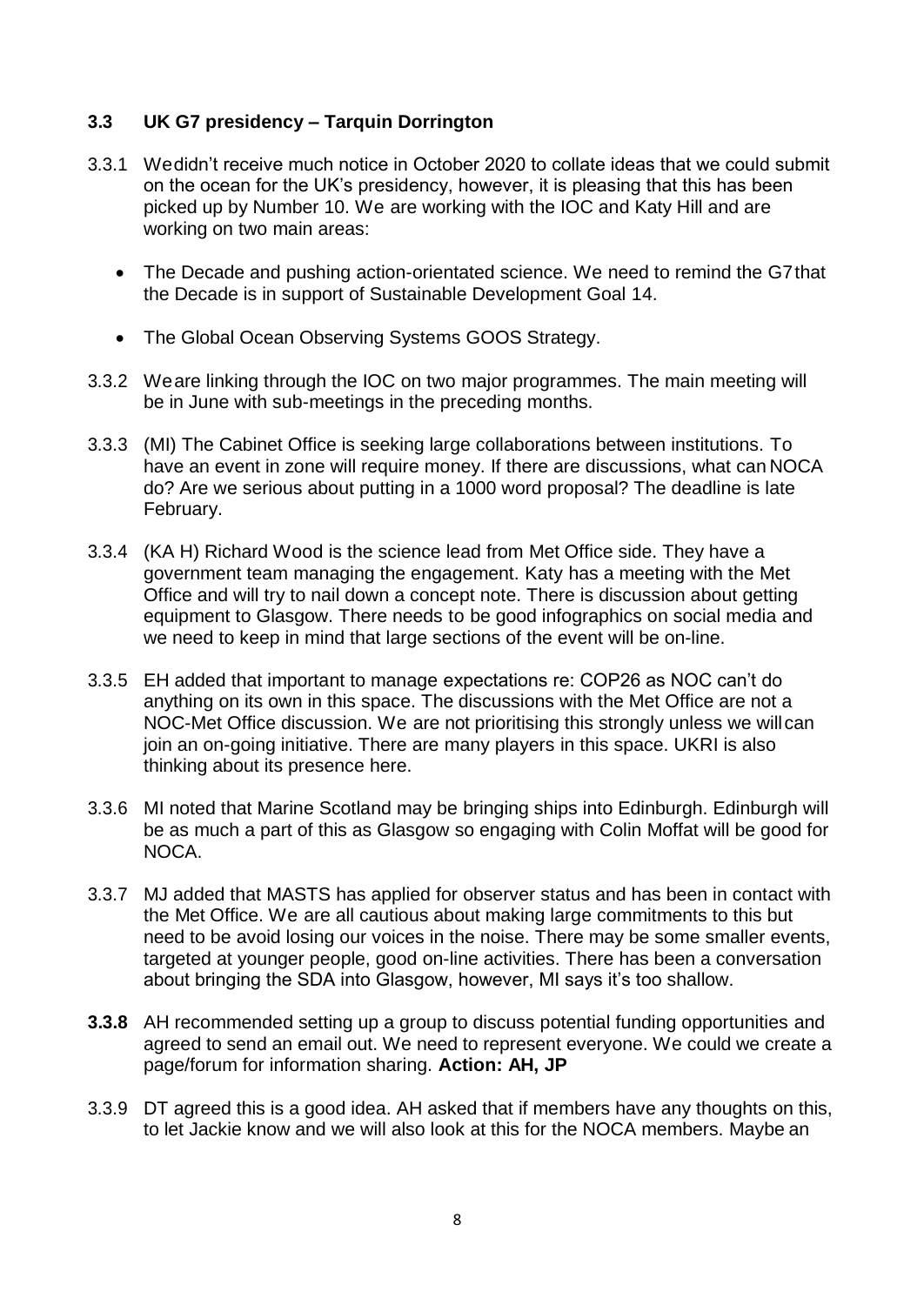## **3.3 UK G7 presidency – Tarquin Dorrington**

- 3.3.1 Wedidn't receive much notice in October 2020 to collate ideas that we could submit on the ocean for the UK's presidency, however, it is pleasing that this has been picked up by Number 10. We are working with the IOC and Katy Hill and are working on two main areas:
	- The Decade and pushing action-orientated science. We need to remind the G7that the Decade is in support of Sustainable Development Goal 14.
	- The Global Ocean Observing Systems GOOS Strategy.
- 3.3.2 Weare linking through the IOC on two major programmes. The main meeting will be in June with sub-meetings in the preceding months.
- 3.3.3 (MI) The Cabinet Office is seeking large collaborations between institutions. To have an event in zone will require money. If there are discussions, what can NOCA do? Are we serious about putting in a 1000 word proposal? The deadline is late February.
- 3.3.4 (KA H) Richard Wood is the science lead from Met Office side. They have a government team managing the engagement. Katy has a meeting with the Met Office and will try to nail down a concept note. There is discussion about getting equipment to Glasgow. There needs to be good infographics on social media and we need to keep in mind that large sections of the event will be on-line.
- 3.3.5 EH added that important to manage expectations re: COP26 as NOC can't do anything on its own in this space. The discussions with the Met Office are not a NOC-Met Office discussion. We are not prioritising this strongly unless we willcan join an on-going initiative. There are many players in this space. UKRI is also thinking about its presence here.
- 3.3.6 MI noted that Marine Scotland may be bringing ships into Edinburgh. Edinburgh will be as much a part of this as Glasgow so engaging with Colin Moffat will be good for NOCA.
- 3.3.7 MJ added that MASTS has applied for observer status and has been in contact with the Met Office. We are all cautious about making large commitments to this but need to be avoid losing our voices in the noise. There may be some smaller events, targeted at younger people, good on-line activities. There has been a conversation about bringing the SDA into Glasgow, however, MI says it's too shallow.
- **3.3.8** AH recommended setting up a group to discuss potential funding opportunities and agreed to send an email out. We need to represent everyone. We could we create a page/forum for information sharing. **Action: AH, JP**
- 3.3.9 DT agreed this is a good idea. AH asked that if members have any thoughts on this, to let Jackie know and we will also look at this for the NOCA members. Maybe an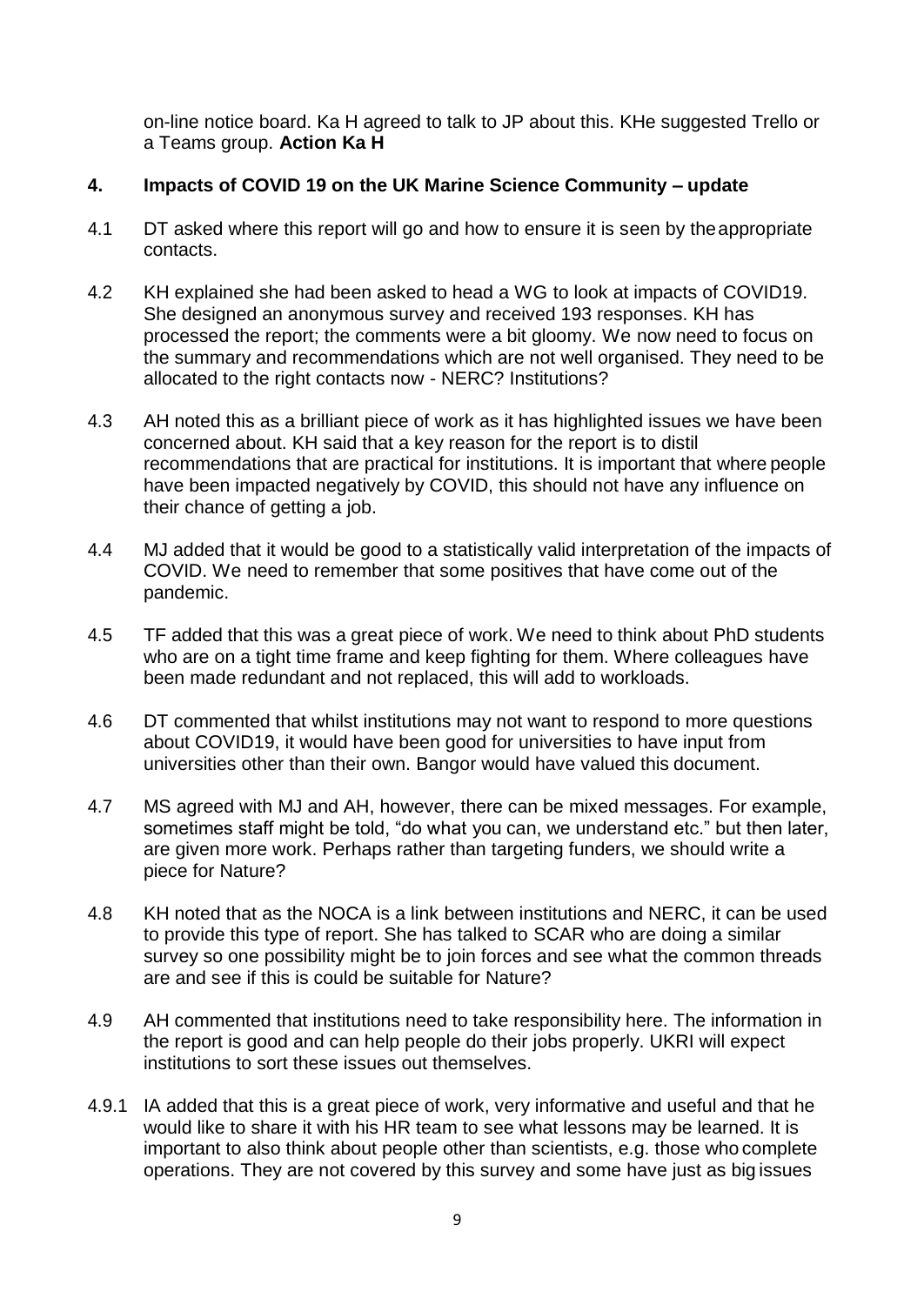on-line notice board. Ka H agreed to talk to JP about this. KHe suggested Trello or a Teams group. **Action Ka H**

## **4. Impacts of COVID 19 on the UK Marine Science Community – update**

- 4.1 DT asked where this report will go and how to ensure it is seen by theappropriate contacts.
- 4.2 KH explained she had been asked to head a WG to look at impacts of COVID19. She designed an anonymous survey and received 193 responses. KH has processed the report; the comments were a bit gloomy. We now need to focus on the summary and recommendations which are not well organised. They need to be allocated to the right contacts now - NERC? Institutions?
- 4.3 AH noted this as a brilliant piece of work as it has highlighted issues we have been concerned about. KH said that a key reason for the report is to distil recommendations that are practical for institutions. It is important that where people have been impacted negatively by COVID, this should not have any influence on their chance of getting a job.
- 4.4 MJ added that it would be good to a statistically valid interpretation of the impacts of COVID. We need to remember that some positives that have come out of the pandemic.
- 4.5 TF added that this was a great piece of work. We need to think about PhD students who are on a tight time frame and keep fighting for them. Where colleagues have been made redundant and not replaced, this will add to workloads.
- 4.6 DT commented that whilst institutions may not want to respond to more questions about COVID19, it would have been good for universities to have input from universities other than their own. Bangor would have valued this document.
- 4.7 MS agreed with MJ and AH, however, there can be mixed messages. For example, sometimes staff might be told, "do what you can, we understand etc." but then later, are given more work. Perhaps rather than targeting funders, we should write a piece for Nature?
- 4.8 KH noted that as the NOCA is a link between institutions and NERC, it can be used to provide this type of report. She has talked to SCAR who are doing a similar survey so one possibility might be to join forces and see what the common threads are and see if this is could be suitable for Nature?
- 4.9 AH commented that institutions need to take responsibility here. The information in the report is good and can help people do their jobs properly. UKRI will expect institutions to sort these issues out themselves.
- 4.9.1 IA added that this is a great piece of work, very informative and useful and that he would like to share it with his HR team to see what lessons may be learned. It is important to also think about people other than scientists, e.g. those who complete operations. They are not covered by this survey and some have just as big issues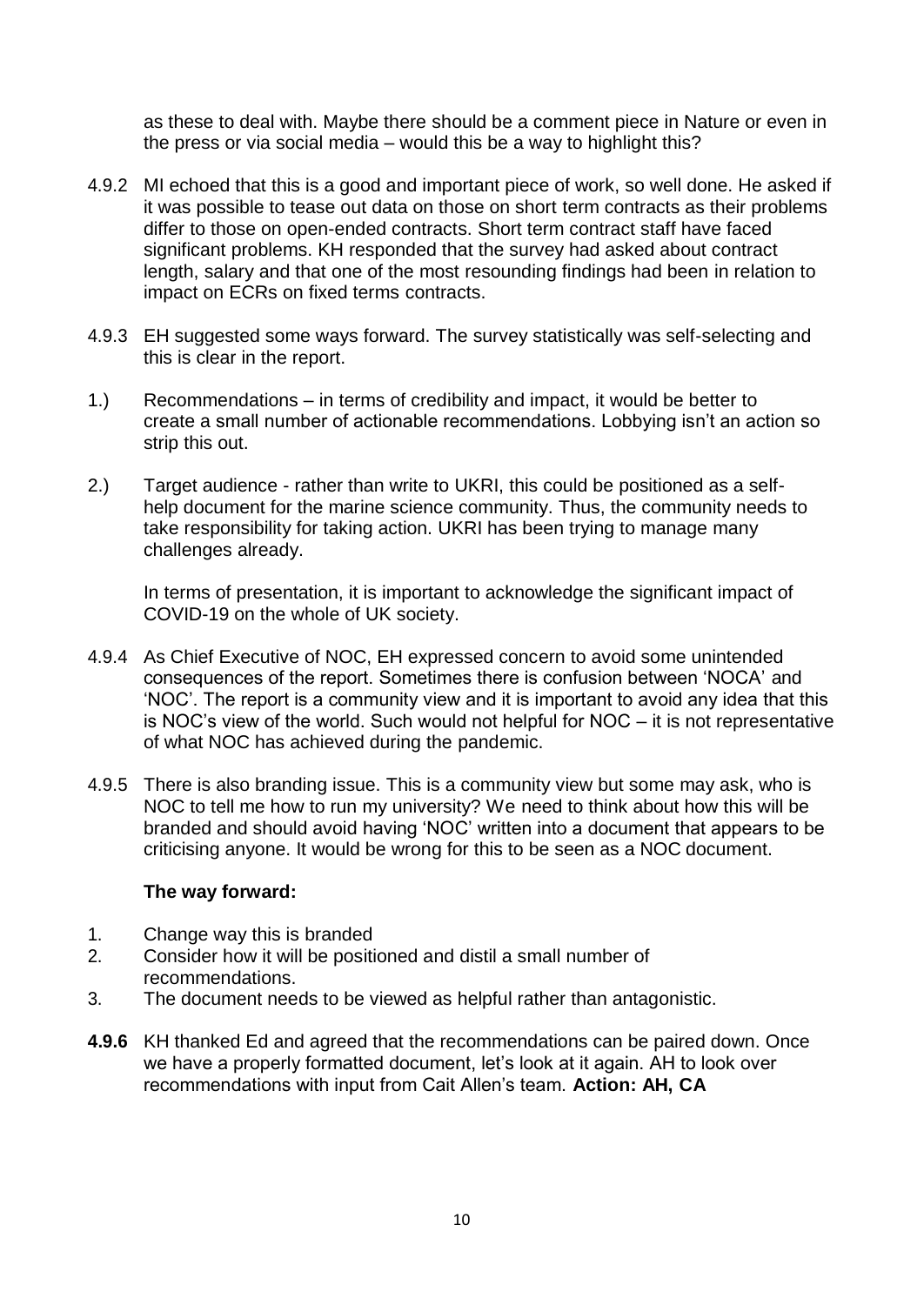as these to deal with. Maybe there should be a comment piece in Nature or even in the press or via social media – would this be a way to highlight this?

- 4.9.2 MI echoed that this is a good and important piece of work, so well done. He asked if it was possible to tease out data on those on short term contracts as their problems differ to those on open-ended contracts. Short term contract staff have faced significant problems. KH responded that the survey had asked about contract length, salary and that one of the most resounding findings had been in relation to impact on ECRs on fixed terms contracts.
- 4.9.3 EH suggested some ways forward. The survey statistically was self-selecting and this is clear in the report.
- 1.) Recommendations in terms of credibility and impact, it would be better to create a small number of actionable recommendations. Lobbying isn't an action so strip this out.
- 2.) Target audience rather than write to UKRI, this could be positioned as a selfhelp document for the marine science community. Thus, the community needs to take responsibility for taking action. UKRI has been trying to manage many challenges already.

In terms of presentation, it is important to acknowledge the significant impact of COVID-19 on the whole of UK society.

- 4.9.4 As Chief Executive of NOC, EH expressed concern to avoid some unintended consequences of the report. Sometimes there is confusion between 'NOCA' and 'NOC'. The report is a community view and it is important to avoid any idea that this is NOC's view of the world. Such would not helpful for NOC – it is not representative of what NOC has achieved during the pandemic.
- 4.9.5 There is also branding issue. This is a community view but some may ask, who is NOC to tell me how to run my university? We need to think about how this will be branded and should avoid having 'NOC' written into a document that appears to be criticising anyone. It would be wrong for this to be seen as a NOC document.

### **The way forward:**

- 1. Change way this is branded
- 2. Consider how it will be positioned and distil a small number of recommendations.
- 3. The document needs to be viewed as helpful rather than antagonistic.
- **4.9.6** KH thanked Ed and agreed that the recommendations can be paired down. Once we have a properly formatted document, let's look at it again. AH to look over recommendations with input from Cait Allen's team. **Action: AH, CA**